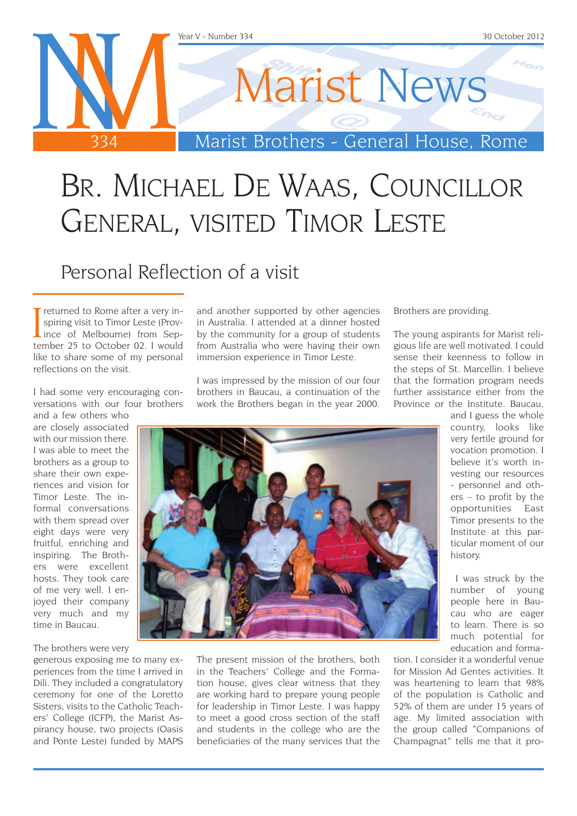

# Br. Michael De Waas, Councillor General, visited Timor Leste

### Personal Reflection of a visit

I returned to Rome after a very in-<br>spiring visit to Timor Leste (Prov-<br>ince of Melbourne) from Sep-<br>tember 25 to October 02, I would spiring visit to Timor Leste (Provtember 25 to October 02. I would like to share some of my personal reflections on the visit.

I had some very encouraging conversations with our four brothers

and a few others who are closely associated with our mission there. I was able to meet the brothers as a group to share their own experiences and vision for Timor Leste. The informal conversations with them spread over eight days were very fruitful, enriching and inspiring. The Brothers were excellent hosts. They took care of me very well. I enjoyed their company very much and my time in Baucau.

The brothers were very

generous exposing me to many experiences from the time I arrived in Dili. They included a congratulatory ceremony for one of the Loretto Sisters, visits to the Catholic Teachers' College (ICFP), the Marist Aspirancy house, two projects (Oasis and Ponte Leste) funded by MAPS and another supported by other agencies in Australia. I attended at a dinner hosted by the community for a group of students from Australia who were having their own immersion experience in Timor Leste.

I was impressed by the mission of our four brothers in Baucau, a continuation of the work the Brothers began in the year 2000. Brothers are providing.

The young aspirants for Marist religious life are well motivated. I could sense their keenness to follow in the steps of St. Marcellin. I believe that the formation program needs further assistance either from the Province or the Institute. Baucau,

and I guess the whole country, looks like very fertile ground for vocation promotion. I believe it's worth investing our resources - personnel and others – to profit by the opportunities East Timor presents to the Institute at this particular moment of our history.

 I was struck by the number of young people here in Baucau who are eager to learn. There is so much potential for education and forma-

The present mission of the brothers, both in the Teachers' College and the Formation house, gives clear witness that they are working hard to prepare young people for leadership in Timor Leste. I was happy to meet a good cross section of the staff and students in the college who are the beneficiaries of the many services that the

tion. I consider it a wonderful venue for Mission Ad Gentes activities. It was heartening to learn that 98% of the population is Catholic and 52% of them are under 15 years of age. My limited association with the group called "Companions of Champagnat" tells me that it pro-

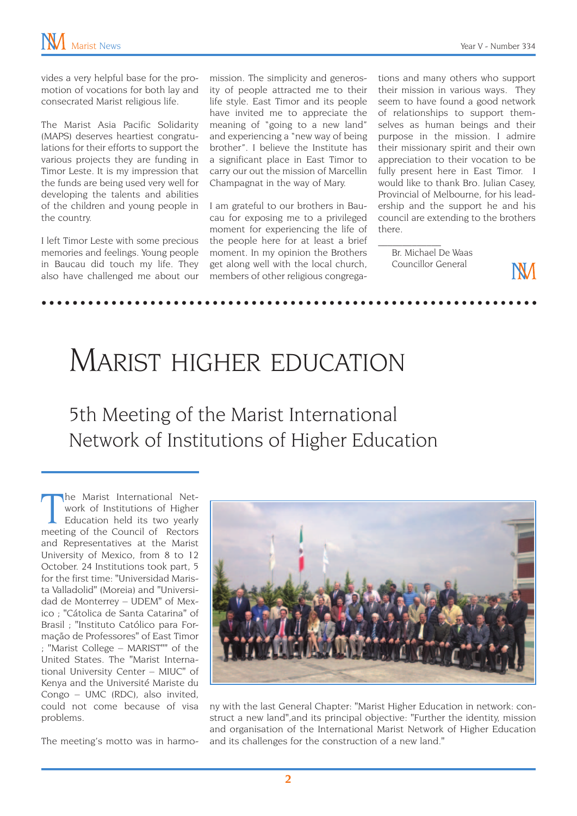vides a very helpful base for the promotion of vocations for both lay and consecrated Marist religious life.

The Marist Asia Pacific Solidarity (MAPS) deserves heartiest congratulations for their efforts to support the various projects they are funding in Timor Leste. It is my impression that the funds are being used very well for developing the talents and abilities of the children and young people in the country.

I left Timor Leste with some precious memories and feelings. Young people in Baucau did touch my life. They also have challenged me about our mission. The simplicity and generosity of people attracted me to their life style. East Timor and its people have invited me to appreciate the meaning of "going to a new land" and experiencing a "new way of being brother". I believe the Institute has a significant place in East Timor to carry our out the mission of Marcellin Champagnat in the way of Mary.

I am grateful to our brothers in Baucau for exposing me to a privileged moment for experiencing the life of the people here for at least a brief moment. In my opinion the Brothers get along well with the local church, members of other religious congrega-

tions and many others who support their mission in various ways. They seem to have found a good network of relationships to support themselves as human beings and their purpose in the mission. I admire their missionary spirit and their own appreciation to their vocation to be fully present here in East Timor. I would like to thank Bro. Julian Casey, Provincial of Melbourne, for his leadership and the support he and his council are extending to the brothers there.

Br. Michael De Waas Councillor General

 $\mathcal{L}_\text{max}$ 

'NЛ

## Marist higher education

5th Meeting of the Marist International Network of Institutions of Higher Education

The Marist International Net-<br>work of Institutions of Higher<br>Education held its two yearly<br>meeting of the Council of Rectors he Marist International Network of Institutions of Higher Education held its two yearly and Representatives at the Marist University of Mexico, from 8 to 12 October. 24 Institutions took part, 5 for the first time: "Universidad Marista Valladolid" (Moreia) and "Universidad de Monterrey – UDEM" of Mexico ; "Cátolica de Santa Catarina" of Brasil ; "Instituto Católico para Formação de Professores" of East Timor ; "Marist College – MARIST"" of the United States. The "Marist International University Center – MIUC" of Kenya and the Université Mariste du Congo – UMC (RDC), also invited, could not come because of visa problems.

The meeting's motto was in harmo-



ny with the last General Chapter: "Marist Higher Education in network: construct a new land",and its principal objective: "Further the identity, mission and organisation of the International Marist Network of Higher Education and its challenges for the construction of a new land."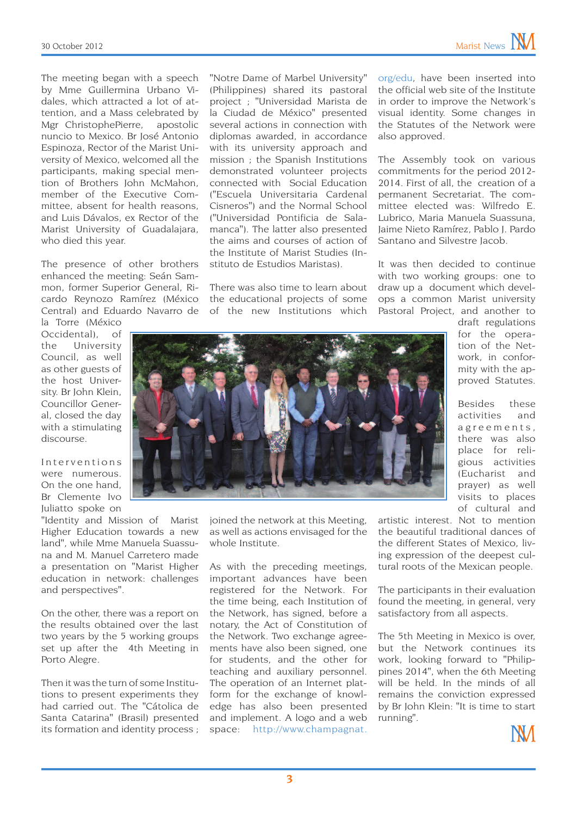The meeting began with a speech by Mme Guillermina Urbano Vidales, which attracted a lot of attention, and a Mass celebrated by Mgr ChristophePierre, apostolic nuncio to Mexico. Br José Antonio Espinoza, Rector of the Marist University of Mexico, welcomed all the participants, making special mention of Brothers John McMahon, member of the Executive Committee, absent for health reasons, and Luis Dávalos, ex Rector of the Marist University of Guadalajara, who died this year.

The presence of other brothers enhanced the meeting: Seán Sammon, former Superior General, Ricardo Reynozo Ramírez (México Central) and Eduardo Navarro de

la Torre (México Occidental), of the University Council, as well as other guests of the host University. Br John Klein, Councillor General, closed the day with a stimulating discourse.

Interventions were numerous. On the one hand, Br Clemente Ivo Juliatto spoke on

"Identity and Mission of Marist Higher Education towards a new land", while Mme Manuela Suassuna and M. Manuel Carretero made a presentation on "Marist Higher education in network: challenges and perspectives".

On the other, there was a report on the results obtained over the last two years by the 5 working groups set up after the 4th Meeting in Porto Alegre.

Then it was the turn of some Institutions to present experiments they had carried out. The "Cátolica de Santa Catarina" (Brasil) presented its formation and identity process ;

"Notre Dame of Marbel University" (Philippines) shared its pastoral project ; "Universidad Marista de la Ciudad de México" presented several actions in connection with diplomas awarded, in accordance with its university approach and mission ; the Spanish Institutions demonstrated volunteer projects connected with Social Education ("Escuela Universitaria Cardenal Cisneros") and the Normal School ("Universidad Pontificia de Salamanca"). The latter also presented the aims and courses of action of the Institute of Marist Studies (Instituto de Estudios Maristas).

There was also time to learn about the educational projects of some of the new Institutions which

[org/edu,](http://www.champagnat.org/edu) have been inserted into the official web site of the Institute in order to improve the Network's visual identity. Some changes in the Statutes of the Network were also approved.

The Assembly took on various commitments for the period 2012- 2014. First of all, the creation of a permanent Secretariat. The committee elected was: Wilfredo E. Lubrico, Maria Manuela Suassuna, Jaime Nieto Ramírez, Pablo J. Pardo Santano and Silvestre Jacob.

It was then decided to continue with two working groups: one to draw up a document which develops a common Marist university Pastoral Project, and another to



joined the network at this Meeting, as well as actions envisaged for the whole Institute.

As with the preceding meetings, important advances have been registered for the Network. For the time being, each Institution of the Network, has signed, before a notary, the Act of Constitution of the Network. Two exchange agreements have also been signed, one for students, and the other for teaching and auxiliary personnel. The operation of an Internet platform for the exchange of knowledge has also been presented and implement. A logo and a web space: [http://www.champagnat.](http://www.champagnat.org/edu)

draft regulations for the operation of the Network, in conformity with the approved Statutes.

Besides these activities and agreements, there was also place for religious activities (Eucharist and prayer) as well visits to places of cultural and

artistic interest. Not to mention the beautiful traditional dances of the different States of Mexico, living expression of the deepest cultural roots of the Mexican people.

The participants in their evaluation found the meeting, in general, very satisfactory from all aspects.

The 5th Meeting in Mexico is over, but the Network continues its work, looking forward to "Philippines 2014", when the 6th Meeting will be held. In the minds of all remains the conviction expressed by Br John Klein: "It is time to start running".